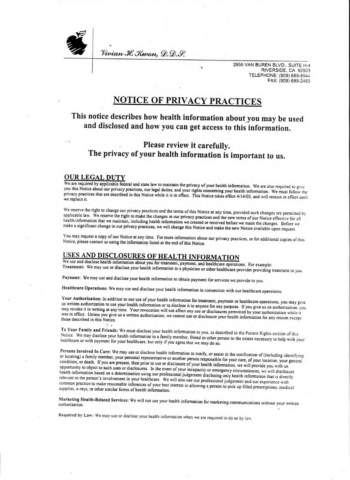Vivian H. Kuron, D.D.S.

2955 VAN BUREN BLVD., SUITE H-4<br>RIVERSIDE, CA 92503 TELEPHONE: (909) 689-8544 FAX: (909) 689-2465

# **NOTICE OF PRIVACY PRACTICES**

### This notice describes how health information about you may be used and disclosed and how you can get access to this information.

### Please review it carefully. The privacy of your health information is important to us.

#### **OUR LEGAL DUTY**

We are required by applicable federal and state law to maintain the privacy of your health information. We are also required to give you this Notice about our privacy practices, our legal duties, and your rights concerning your health information. We must follow the privacy practices that are described in this Notice while it is in effect. This Notice takes effect 4/14/03, and will remain in effect until we replace it.

We reserve the right to change our privacy practices and the terms of this Notice at any time, provided such changes are permitted by applicable law. We reserve the right to make the changes in our privacy practices and the new terms of our Notice effective for all health information that we maintain, including health information we created or received before we made the changes. Before we make a significant change in our privacy practices, we will change this Notice and make the new Notice available upon request.

You may request a copy of our Notice at any time. For more information about our privacy practices, or for additional copies of this Notice, please contact us using the information listed at the end of this Notice.

### USES AND DISCLOSURES OF HEALTH INFORMATION

We use and disclose health information about you for treatment, payment, and healthcare operations. For example: Treatment: We may use or disclose your health information to a physician or other healthcare provider providing treatment to you.

Payment: We may use and disclose your health information to obtain payment for services we provide to you.

Healthcare Operations: We may use and disclose your health information in connection with our healthcare operations.

Your Authorization: In addition to our use of your health information for treatment, payment or healthcare operations, you may give us written authorization to use your health information or to disclose it to anyone for any purpose. If you give us an authorization, you may revoke it in writing at any time. Your revocation will not affect any use or disclosures permitted by your authorization while it was in effect. Unless you give us a written authorization, we cannot use or disclosure your health information for any reason except those described in this Notice.

To Your Family and Friends: We must disclose your health information to you, as described in the Patient Rights section of this Notice. We may disclose your health information to a family member, friend or other person to the extent necessary to help with your healthcare or with payment for your healthcare, but only if you agree that we may do so.

Persons Involved In Care: We may use or disclose health information to notify, or assist in the notification of (Including identifying or locating) a family member, your personal representative or another person responsible for your care, of your location, your general condition, or death. If you are present, then prior to use or disclosure of your health information, we will provide you with an opportunity to object to such uses or disclosures. In the event of your incapacity or emergency circumstances, we will disclosure health information based on a determination using our professional judgement disclosing only health information that is directly relevant to the person's involvement in your healthcare. We will also use our professional judgement and our experience with common practice to make reasonable inferences of your best interest in allowing a person to pick up filled prescriptions, medical supplies, x-rays, or other similar forms of health information.

Marketing Health-Related Services: We will not use your health information for marketing communications without your written authorization.

Required by Law: We may use or disclose your health information when we are required to do so by law.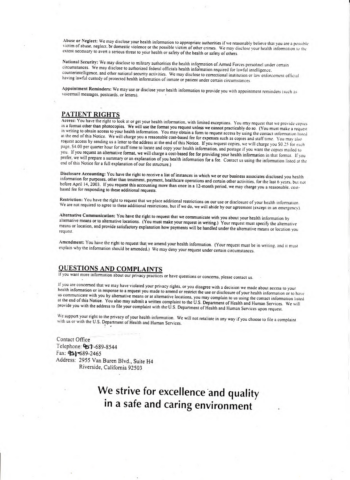Abuse or Neglect: We may disclose your health information to appropriate authorities if we reasonably believe that you are a possible victim of abuse, neglect, or domestic violence or the possible victim of other crimes. We may disclose your health information to the extent necessary to avert a serious threat to your health or safety of the health or safety of others.

National Security: We may disclose to military authorities the health information of Armed Forces personnel under certain circumstances. We may disclose to authorized federal officials health information required for lawful intelligence. counterintelligence, and other national security activities. We may disclose to correctional institution or law enforcement official having lawful custody of protected health information of inmate or patient under certain circumstances.

Appointment Reminders: We may use or disclose your health information to provide you with appointment reminders (such as voicemail messages, postcards, or letters).

#### PATIENT RIGHTS

Access: You have the right to look at or get your health information, with limited exceptions. You may request that we provide copies in a format other than photocopies. We will use the format you request unless we cannot practicably do so. (You must make a request in writing to obtain access to your health information. You may obtain a form to request access by using the contact information listed at the end of this Notice. We will charge you a reasonable cost-based fee for expenses such as copies and staff time. You may also request access by sending us a letter to the address at the end of this Notice. If you request copies, we will charge you S0.25 for each page, \$4.00 per quarter hour for staff time to locate and copy your health information, and postage if you want the copies mailed to you. If you request an alternative format, we will charge a cost-based fee for providing your health information in that format. If you prefer, we will prepare a summary or an explanation of you health information for a fee. Contact us using the information listed at the end of this Notice for a full explanation of our fee structure.)

Disclosure Accounting: You have the right to receive a list of instances in which we or our business associates disclosed you health information for purposes, other than treatment, payment, healthcare operations and certain other activities, for the last 6 years, but not before April 14, 2003. If you request this accounting more than once in a 12-month period, we may charge you a reasonable, costbased fee for responding to these additional requests.

Restriction: You have the right to request that we place additional restrictions on our use or disclosure of your health information. We are not required to agree to these additional restrictions, but if we do, we will abide by our agreement (except in an emergency).

Alternative Communication: You have the right to request that we communicate with you about your health information by alternative means or to alternative locations. (You must make your request in writing.) Your request must specify the alternative means or location, and provide satisfactory explanation how payments will be handled under the alternative means or location you request.

Amendment: You have the right to request that we amend your health information. (Your request must be in writing, and it must explain why the information should be amended.) We may deny your request under certain circumstances.

#### **OUESTIONS AND COMPLAINTS**

If you want more information about our privacy practices or have questions or concerns, please contact us.

If you are concerned that we may have violated your privacy rights, or you disagree with a decision we made about access to your health information or in response to a request you made to amend or restrict the use or disclosure of your health information or to have them intermediately in the process of the internative locations, you may complain to us using the contact information listed at the end of this Notice. You also may submit a written complaint to the U.S. Department of Health and Human Services. We will provide you with the address to file your complaint with the U.S. Department of Health and Human Services upon request.

We support your right to the privacy of your health information. We will not retaliate in any way if you choose to file a complaint with us or with the U.S. Department of Health and Human Services.

Contact Office Telephone: 957-689-8544 Fax: 951-689-2465 Address: 2955 Van Buren Blvd., Suite H4 Riverside, California 92503

# We strive for excellence and quality in a safe and caring environment